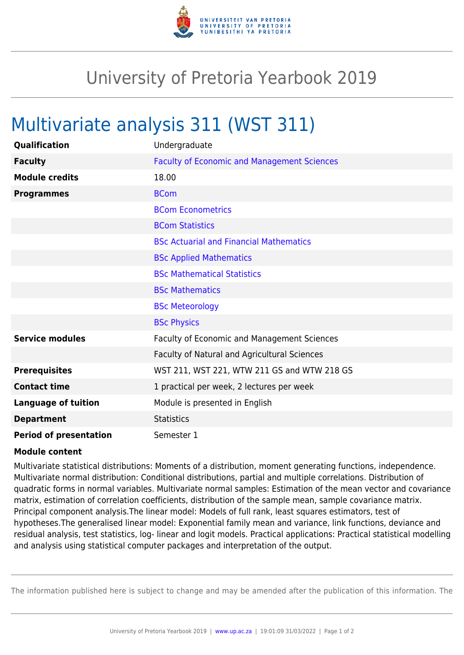

## University of Pretoria Yearbook 2019

## Multivariate analysis 311 (WST 311)

| Qualification                 | Undergraduate                                      |
|-------------------------------|----------------------------------------------------|
| <b>Faculty</b>                | <b>Faculty of Economic and Management Sciences</b> |
| <b>Module credits</b>         | 18.00                                              |
| <b>Programmes</b>             | <b>BCom</b>                                        |
|                               | <b>BCom Econometrics</b>                           |
|                               | <b>BCom Statistics</b>                             |
|                               | <b>BSc Actuarial and Financial Mathematics</b>     |
|                               | <b>BSc Applied Mathematics</b>                     |
|                               | <b>BSc Mathematical Statistics</b>                 |
|                               | <b>BSc Mathematics</b>                             |
|                               | <b>BSc Meteorology</b>                             |
|                               | <b>BSc Physics</b>                                 |
| <b>Service modules</b>        | <b>Faculty of Economic and Management Sciences</b> |
|                               | Faculty of Natural and Agricultural Sciences       |
| <b>Prerequisites</b>          | WST 211, WST 221, WTW 211 GS and WTW 218 GS        |
| <b>Contact time</b>           | 1 practical per week, 2 lectures per week          |
| <b>Language of tuition</b>    | Module is presented in English                     |
| <b>Department</b>             | <b>Statistics</b>                                  |
| <b>Period of presentation</b> | Semester 1                                         |

## **Module content**

Multivariate statistical distributions: Moments of a distribution, moment generating functions, independence. Multivariate normal distribution: Conditional distributions, partial and multiple correlations. Distribution of quadratic forms in normal variables. Multivariate normal samples: Estimation of the mean vector and covariance matrix, estimation of correlation coefficients, distribution of the sample mean, sample covariance matrix. Principal component analysis.The linear model: Models of full rank, least squares estimators, test of hypotheses.The generalised linear model: Exponential family mean and variance, link functions, deviance and residual analysis, test statistics, log- linear and logit models. Practical applications: Practical statistical modelling and analysis using statistical computer packages and interpretation of the output.

The information published here is subject to change and may be amended after the publication of this information. The